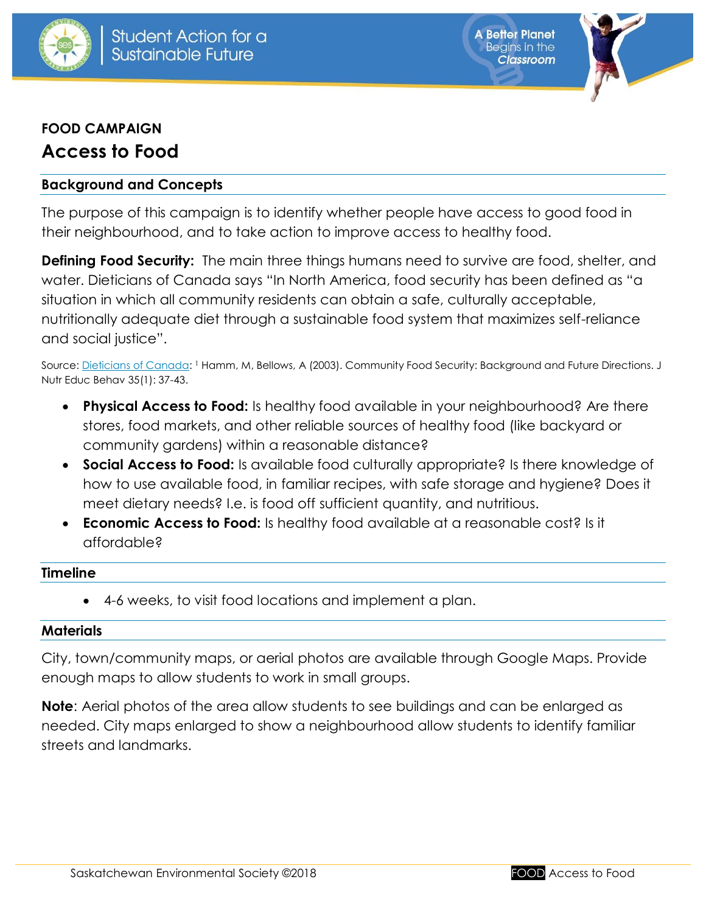

**A Better Planet Beains in the Classroom** 

# **FOOD CAMPAIGN Access to Food**

## **Background and Concepts**

The purpose of this campaign is to identify whether people have access to good food in their neighbourhood, and to take action to improve access to healthy food.

**Defining Food Security:** The main three things humans need to survive are food, shelter, and water. Dieticians of Canada says "In North America, food security has been defined as "a situation in which all community residents can obtain a safe, culturally acceptable, nutritionally adequate diet through a sustainable food system that maximizes self-reliance and social justice".

Source: <u>Dieticians of Canada</u>: <sup>1</sup> Hamm, M, Bellows, A (2003). Community Food Security: Background and Future Directions. J Nutr Educ Behav 35(1): 37-43.

- **Physical Access to Food:** Is healthy food available in your neighbourhood? Are there stores, food markets, and other reliable sources of healthy food (like backyard or community gardens) within a reasonable distance?
- **Social Access to Food:** Is available food culturally appropriate? Is there knowledge of how to use available food, in familiar recipes, with safe storage and hygiene? Does it meet dietary needs? I.e. is food off sufficient quantity, and nutritious.
- **Economic Access to Food:** Is healthy food available at a reasonable cost? Is it affordable?

#### **Timeline**

4-6 weeks, to visit food locations and implement a plan.

#### **Materials**

City, town/community maps, or aerial photos are available through Google Maps. Provide enough maps to allow students to work in small groups.

**Note**: Aerial photos of the area allow students to see buildings and can be enlarged as needed. City maps enlarged to show a neighbourhood allow students to identify familiar streets and landmarks.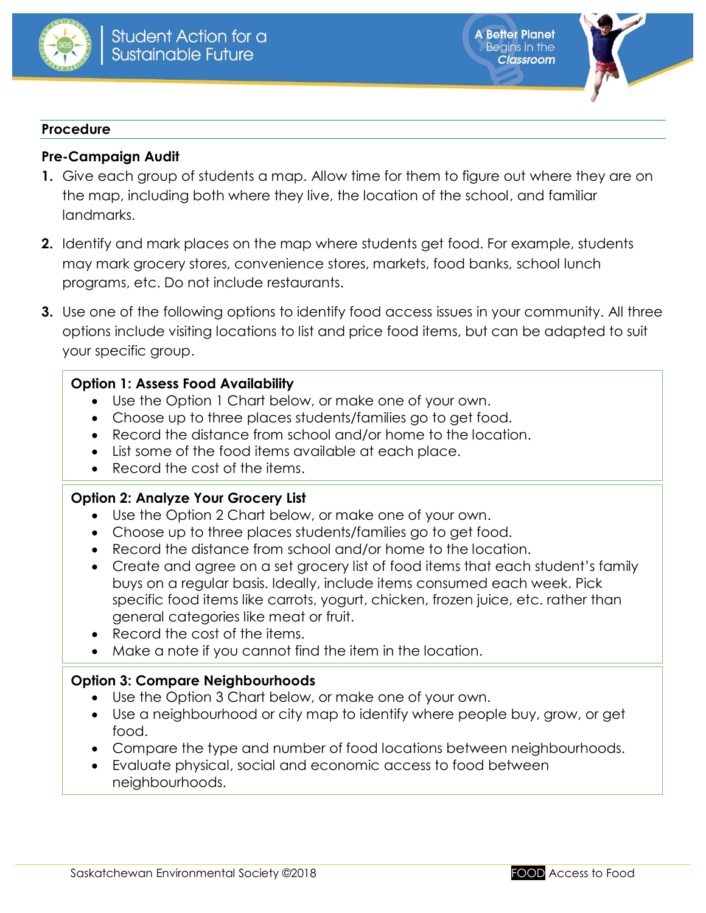



#### **Procedure**

## **Pre-Campaign Audit**

- **1.** Give each group of students a map. Allow time for them to figure out where they are on the map, including both where they live, the location of the school, and familiar landmarks.
- **2.** Identify and mark places on the map where students get food. For example, students may mark grocery stores, convenience stores, markets, food banks, school lunch programs, etc. Do not include restaurants.
- **3.** Use one of the following options to identify food access issues in your community. All three options include visiting locations to list and price food items, but can be adapted to suit your specific group.

## **Option 1: Assess Food Availability**

- Use the Option 1 Chart below, or make one of your own.
- Choose up to three places students/families go to get food.
- Record the distance from school and/or home to the location.
- List some of the food items available at each place.
- Record the cost of the items.

#### **Option 2: Analyze Your Grocery List**

- Use the Option 2 Chart below, or make one of your own.
- Choose up to three places students/families go to get food.
- Record the distance from school and/or home to the location.
- Create and agree on a set grocery list of food items that each student's family buys on a regular basis. Ideally, include items consumed each week. Pick specific food items like carrots, yogurt, chicken, frozen juice, etc. rather than general categories like meat or fruit.
- Record the cost of the items.
- Make a note if you cannot find the item in the location.

## **Option 3: Compare Neighbourhoods**

- Use the Option 3 Chart below, or make one of your own.
- Use a neighbourhood or city map to identify where people buy, grow, or get food.
- Compare the type and number of food locations between neighbourhoods.
- Evaluate physical, social and economic access to food between neighbourhoods.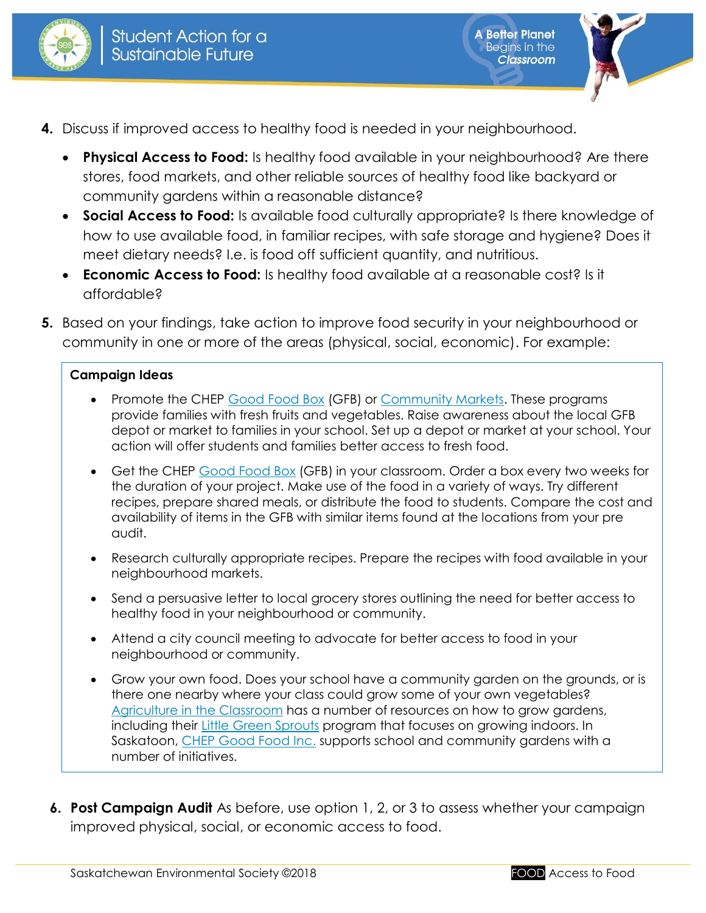

**A Better Planet** Begins in the

**Classroom** 

- **4.** Discuss if improved access to healthy food is needed in your neighbourhood.
	- **Physical Access to Food:** Is healthy food available in your neighbourhood? Are there stores, food markets, and other reliable sources of healthy food like backyard or community gardens within a reasonable distance?
	- **Social Access to Food:** Is available food culturally appropriate? Is there knowledge of how to use available food, in familiar recipes, with safe storage and hygiene? Does it meet dietary needs? I.e. is food off sufficient quantity, and nutritious.
	- **Economic Access to Food:** Is healthy food available at a reasonable cost? Is it affordable?
- **5.** Based on your findings, take action to improve food security in your neighbourhood or community in one or more of the areas (physical, social, economic). For example:

## **Campaign Ideas**

- Promote the CHEP [Good Food Box](http://www.chep.org/en/programs/good-food-box) (GFB) or [Community Markets.](http://www.chep.org/en/programs/community-markets) These programs provide families with fresh fruits and vegetables. Raise awareness about the local GFB depot or market to families in your school. Set up a depot or market at your school. Your action will offer students and families better access to fresh food.
- Get the CHEP [Good Food Box](http://www.chep.org/en/programs/good-food-box) (GFB) in your classroom. Order a box every two weeks for the duration of your project. Make use of the food in a variety of ways. Try different recipes, prepare shared meals, or distribute the food to students. Compare the cost and availability of items in the GFB with similar items found at the locations from your pre audit.
- Research culturally appropriate recipes. Prepare the recipes with food available in your neighbourhood markets.
- Send a persuasive letter to local grocery stores outlining the need for better access to healthy food in your neighbourhood or community.
- Attend a city council meeting to advocate for better access to food in your neighbourhood or community.
- Grow your own food. Does your school have a community garden on the grounds, or is there one nearby where your class could grow some of your own vegetables? [Agriculture in the Classroom](https://aitc.sk.ca/) has a number of resources on how to grow gardens, including their Little [Green Sprouts](https://aitc.sk.ca/school-programs/little-green-sprouts) program that focuses on growing indoors. In Saskatoon, [CHEP Good Food Inc.](http://www.chep.org/) supports school and community gardens with a number of initiatives.
- **6. Post Campaign Audit** As before, use option 1, 2, or 3 to assess whether your campaign improved physical, social, or economic access to food.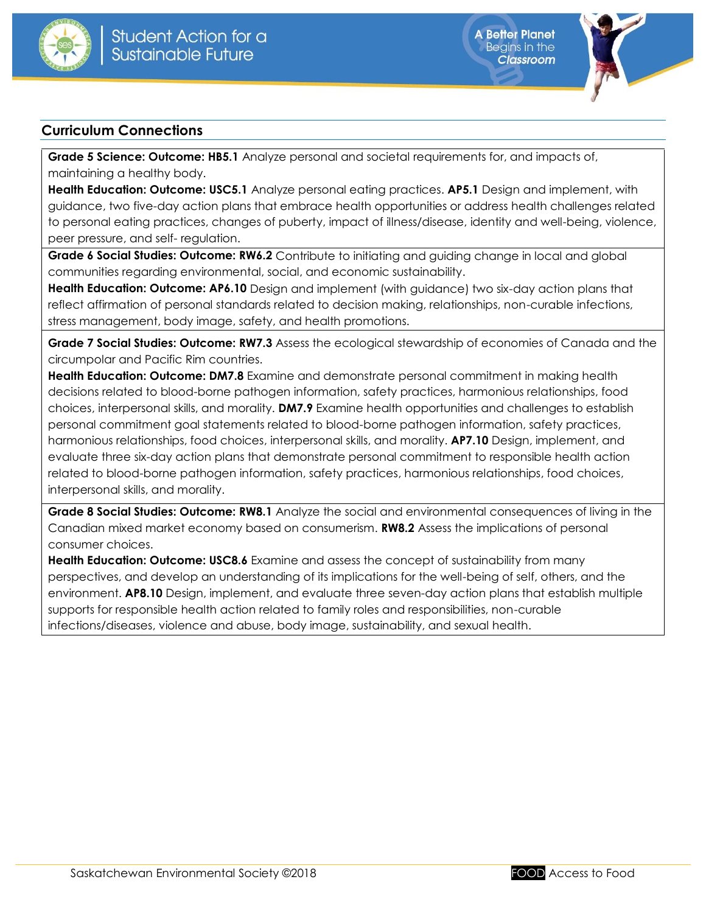



#### **Curriculum Connections**

**Grade 5 Science: Outcome: HB5.1** Analyze personal and societal requirements for, and impacts of, maintaining a healthy body.

**Health Education: Outcome: USC5.1** Analyze personal eating practices. **AP5.1** Design and implement, with guidance, two five-day action plans that embrace health opportunities or address health challenges related to personal eating practices, changes of puberty, impact of illness/disease, identity and well-being, violence, peer pressure, and self- regulation.

Grade 6 Social Studies: Outcome: RW6.2 Contribute to initiating and guiding change in local and global communities regarding environmental, social, and economic sustainability.

**Health Education: Outcome: AP6.10** Design and implement (with guidance) two six-day action plans that reflect affirmation of personal standards related to decision making, relationships, non-curable infections, stress management, body image, safety, and health promotions.

**Grade 7 Social Studies: Outcome: RW7.3** Assess the ecological stewardship of economies of Canada and the circumpolar and Pacific Rim countries.

**Health Education: Outcome: DM7.8** Examine and demonstrate personal commitment in making health decisions related to blood-borne pathogen information, safety practices, harmonious relationships, food choices, interpersonal skills, and morality. **DM7.9** Examine health opportunities and challenges to establish personal commitment goal statements related to blood-borne pathogen information, safety practices, harmonious relationships, food choices, interpersonal skills, and morality. **AP7.10** Design, implement, and evaluate three six-day action plans that demonstrate personal commitment to responsible health action related to blood-borne pathogen information, safety practices, harmonious relationships, food choices, interpersonal skills, and morality.

**Grade 8 Social Studies: Outcome: RW8.1** Analyze the social and environmental consequences of living in the Canadian mixed market economy based on consumerism. **RW8.2** Assess the implications of personal consumer choices.

**Health Education: Outcome: USC8.6** Examine and assess the concept of sustainability from many perspectives, and develop an understanding of its implications for the well-being of self, others, and the environment. **AP8.10** Design, implement, and evaluate three seven-day action plans that establish multiple supports for responsible health action related to family roles and responsibilities, non-curable infections/diseases, violence and abuse, body image, sustainability, and sexual health.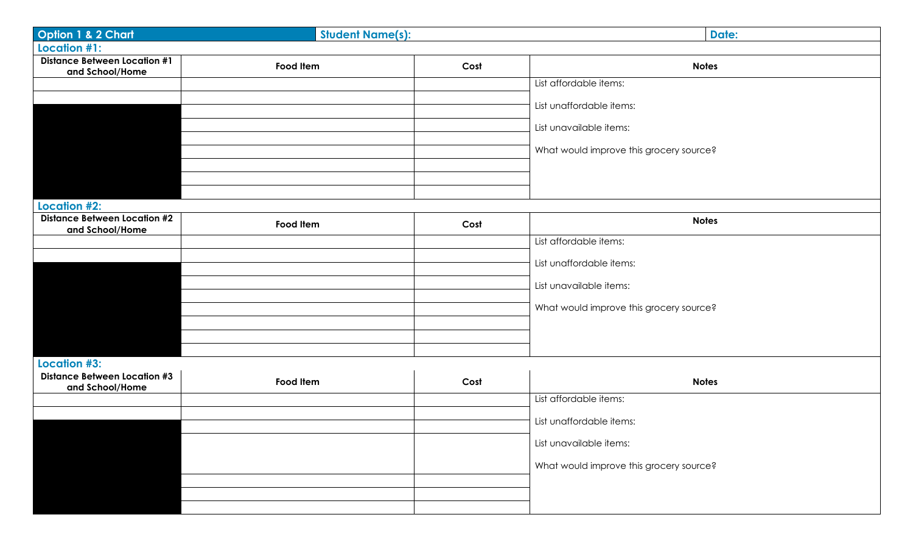| Option 1 & 2 Chart                                         | <b>Student Name(s):</b> |      | <b>Date:</b>                            |  |  |  |
|------------------------------------------------------------|-------------------------|------|-----------------------------------------|--|--|--|
| Location #1:                                               |                         |      |                                         |  |  |  |
| <b>Distance Between Location #1</b><br>and School/Home     | Food Item               | Cost | <b>Notes</b>                            |  |  |  |
|                                                            |                         |      | List affordable items:                  |  |  |  |
|                                                            |                         |      | List unaffordable items:                |  |  |  |
|                                                            |                         |      |                                         |  |  |  |
|                                                            |                         |      | List unavailable items:                 |  |  |  |
|                                                            |                         |      | What would improve this grocery source? |  |  |  |
|                                                            |                         |      |                                         |  |  |  |
|                                                            |                         |      |                                         |  |  |  |
| <b>Location #2:</b>                                        |                         |      |                                         |  |  |  |
| <b>Distance Between Location #2</b><br>and School/Home     | Food Item               | Cost | <b>Notes</b>                            |  |  |  |
|                                                            |                         |      | List affordable items:                  |  |  |  |
|                                                            |                         |      | List unaffordable items:                |  |  |  |
|                                                            |                         |      |                                         |  |  |  |
|                                                            |                         |      | List unavailable items:                 |  |  |  |
|                                                            |                         |      | What would improve this grocery source? |  |  |  |
|                                                            |                         |      |                                         |  |  |  |
|                                                            |                         |      |                                         |  |  |  |
|                                                            |                         |      |                                         |  |  |  |
| <b>Location #3:</b><br><b>Distance Between Location #3</b> |                         |      |                                         |  |  |  |
| and School/Home                                            | Food Item               | Cost | <b>Notes</b>                            |  |  |  |
|                                                            |                         |      | List affordable items:                  |  |  |  |
|                                                            |                         |      | List unaffordable items:                |  |  |  |
|                                                            |                         |      | List unavailable items:                 |  |  |  |
|                                                            |                         |      |                                         |  |  |  |
|                                                            |                         |      | What would improve this grocery source? |  |  |  |
|                                                            |                         |      |                                         |  |  |  |
|                                                            |                         |      |                                         |  |  |  |
|                                                            |                         |      |                                         |  |  |  |